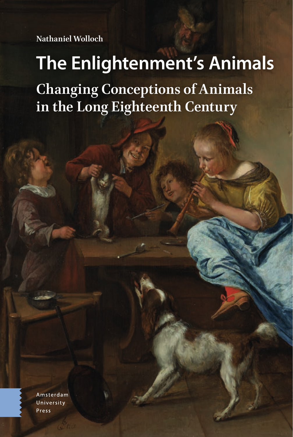**Nathaniel Wolloch**

# **The Enlightenment's Animals Changing Conceptions of Animals in the Long Eighteenth Century**

Amsterdam University Press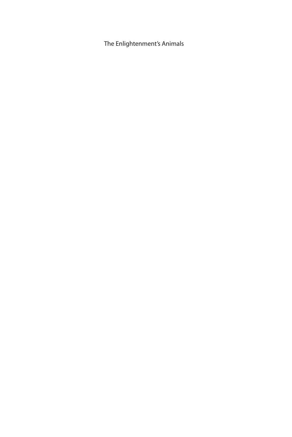The Enlightenment's Animals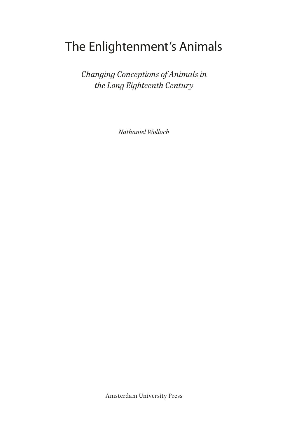## The Enlightenment's Animals

*Changing Conceptions of Animals in the Long Eighteenth Century*

*Nathaniel Wolloch*

Amsterdam University Press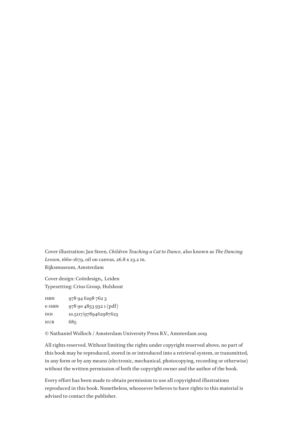Cover illustration: Jan Steen, *Children Teaching a Cat to Dance*, also known as *The Dancing Lesson*, 1660-1679, oil on canvas, 26.8 x 23.2 in. Rijksmuseum, Amsterdam

Cover design: Coördesign, Leiden Typesetting: Crius Group, Hulshout

isbn 978 94 6298 762 3 e-isbn 978 90 4853 932 1 (pdf) DOI 10.5117/9789462987623 nur 685

© Nathaniel Wolloch / Amsterdam University Press B.V., Amsterdam 2019

All rights reserved. Without limiting the rights under copyright reserved above, no part of this book may be reproduced, stored in or introduced into a retrieval system, or transmitted, in any form or by any means (electronic, mechanical, photocopying, recording or otherwise) without the written permission of both the copyright owner and the author of the book.

Every effort has been made to obtain permission to use all copyrighted illustrations reproduced in this book. Nonetheless, whosoever believes to have rights to this material is advised to contact the publisher.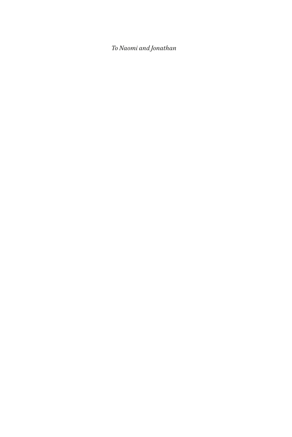*To Naomi and Jonathan*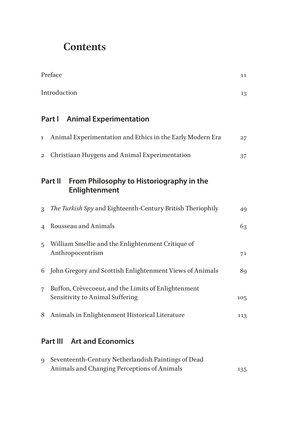### **Contents**

|                                                                             | Preface                                                                                |     |  |
|-----------------------------------------------------------------------------|----------------------------------------------------------------------------------------|-----|--|
|                                                                             | Introduction                                                                           | 13  |  |
|                                                                             | <b>Animal Experimentation</b><br>Part I                                                |     |  |
| $\mathbf{1}$                                                                | Animal Experimentation and Ethics in the Early Modern Era                              | 27  |  |
| $\mathbf 2$                                                                 | Christiaan Huygens and Animal Experimentation                                          | 37  |  |
| Part II<br>From Philosophy to Historiography in the<br><b>Enlightenment</b> |                                                                                        |     |  |
| 3                                                                           | The Turkish Spy and Eighteenth-Century British Theriophily                             | 49  |  |
| 4                                                                           | Rousseau and Animals                                                                   | 63  |  |
| 5                                                                           | William Smellie and the Enlightenment Critique of<br>Anthropocentrism                  | 71  |  |
| 6                                                                           | John Gregory and Scottish Enlightenment Views of Animals                               | 89  |  |
| 7                                                                           | Buffon, Crèvecoeur, and the Limits of Enlightenment<br>Sensitivity to Animal Suffering | 105 |  |
| 8                                                                           | Animals in Enlightenment Historical Literature                                         | 113 |  |
|                                                                             |                                                                                        |     |  |

#### **[Part III](#page--1-0) [Art and Economics](#page--1-0)**

| 9 Seventeenth-Century Netherlandish Paintings of Dead |     |
|-------------------------------------------------------|-----|
| Animals and Changing Perceptions of Animals           | 135 |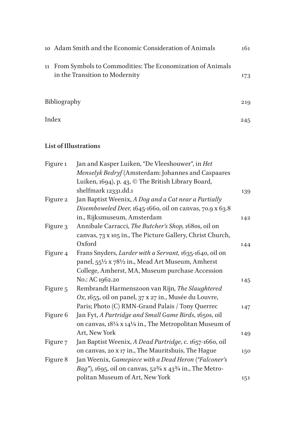| 10 Adam Smith and the Economic Consideration of Animals                                        | 161 |
|------------------------------------------------------------------------------------------------|-----|
| 11 From Symbols to Commodities: The Economization of Animals<br>in the Transition to Modernity | 173 |
| Bibliography                                                                                   |     |
| Index                                                                                          | 245 |

#### **List of Illustrations**

| Jan and Kasper Luiken, "De Vleeshouwer", in Het                                       |                                                                                                                                                                                                                                                                                                                |
|---------------------------------------------------------------------------------------|----------------------------------------------------------------------------------------------------------------------------------------------------------------------------------------------------------------------------------------------------------------------------------------------------------------|
| Menselyk Bedryf (Amsterdam: Johannes and Caspaares                                    |                                                                                                                                                                                                                                                                                                                |
|                                                                                       |                                                                                                                                                                                                                                                                                                                |
| shelfmark 12331.dd.1                                                                  | 139                                                                                                                                                                                                                                                                                                            |
| Jan Baptist Weenix, A Dog and a Cat near a Partially                                  |                                                                                                                                                                                                                                                                                                                |
| Disemboweled Deer, 1645-1660, oil on canvas, 70.9 x 63.8                              |                                                                                                                                                                                                                                                                                                                |
| in., Rijksmuseum, Amsterdam                                                           | 142                                                                                                                                                                                                                                                                                                            |
| Annibale Carracci, The Butcher's Shop, 1680s, oil on                                  |                                                                                                                                                                                                                                                                                                                |
|                                                                                       |                                                                                                                                                                                                                                                                                                                |
| Oxford                                                                                | 144                                                                                                                                                                                                                                                                                                            |
|                                                                                       |                                                                                                                                                                                                                                                                                                                |
| panel, 55 <sup>1</sup> /2 x 78 <sup>1</sup> /2 in., Mead Art Museum, Amherst          |                                                                                                                                                                                                                                                                                                                |
| College, Amherst, MA, Museum purchase Accession                                       |                                                                                                                                                                                                                                                                                                                |
|                                                                                       | 145                                                                                                                                                                                                                                                                                                            |
| Rembrandt Harmenszoon van Rijn, The Slaughtered                                       |                                                                                                                                                                                                                                                                                                                |
|                                                                                       |                                                                                                                                                                                                                                                                                                                |
| Paris; Photo (C) RMN-Grand Palais / Tony Querrec                                      | 147                                                                                                                                                                                                                                                                                                            |
| Jan Fyt, A Partridge and Small Game Birds, 1650s, oil                                 |                                                                                                                                                                                                                                                                                                                |
| on canvas, 181/4 x 141/4 in., The Metropolitan Museum of                              |                                                                                                                                                                                                                                                                                                                |
| Art, New York                                                                         | 149                                                                                                                                                                                                                                                                                                            |
| Jan Baptist Weenix, A Dead Partridge, c. 1657-1660, oil                               |                                                                                                                                                                                                                                                                                                                |
| on canvas, 20 x 17 in., The Mauritshuis, The Hague                                    | 150                                                                                                                                                                                                                                                                                                            |
|                                                                                       |                                                                                                                                                                                                                                                                                                                |
| <i>Bag"</i> ), 1695, oil on canvas, $52\frac{3}{4}$ x $43\frac{3}{4}$ in., The Metro- |                                                                                                                                                                                                                                                                                                                |
| politan Museum of Art, New York                                                       | 151                                                                                                                                                                                                                                                                                                            |
|                                                                                       | Luiken, 1694), p. 43, © The British Library Board,<br>canvas, 73 x 105 in., The Picture Gallery, Christ Church,<br>Frans Snyders, Larder with a Servant, 1635-1640, oil on<br>No.: AC 1962.20<br>Ox, 1655, oil on panel, 37 x 27 in., Musée du Louvre,<br>Jan Weenix, Gamepiece with a Dead Heron ("Falconer's |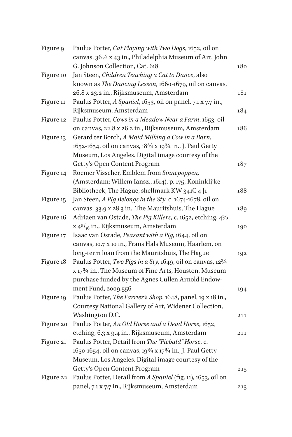| Figure 9  | Paulus Potter, Cat Playing with Two Dogs, 1652, oil on                   |     |
|-----------|--------------------------------------------------------------------------|-----|
|           | canvas, 361/2 x 43 in., Philadelphia Museum of Art, John                 |     |
|           | G. Johnson Collection, Cat. 618                                          | 180 |
| Figure 10 | Jan Steen, Children Teaching a Cat to Dance, also                        |     |
|           | known as The Dancing Lesson, 1660-1679, oil on canvas,                   |     |
|           | 26.8 x 23.2 in., Rijksmuseum, Amsterdam                                  | 181 |
| Figure 11 | Paulus Potter, A Spaniel, 1653, oil on panel, 7.1 x 7.7 in.,             |     |
|           | Rijksmuseum, Amsterdam                                                   | 184 |
| Figure 12 | Paulus Potter, Cows in a Meadow Near a Farm, 1653, oil                   |     |
|           | on canvas, 22.8 x 26.2 in., Rijksmuseum, Amsterdam                       | 186 |
| Figure 13 | Gerard ter Borch, A Maid Milking a Cow in a Barn,                        |     |
|           | 1652-1654, oil on canvas, 183/4 x 193/4 in., J. Paul Getty               |     |
|           | Museum, Los Angeles. Digital image courtesy of the                       |     |
|           | Getty's Open Content Program                                             | 187 |
| Figure 14 | Roemer Visscher, Emblem from Sinnepoppen,                                |     |
|           | (Amsterdam: Willem Iansz., 1614), p. 175, Koninklijke                    |     |
|           | Bibliotheek, The Hague, shelfmark KW 341C 4 [1]                          | 188 |
| Figure 15 | Jan Steen, A Pig Belongs in the Sty, c. 1674-1678, oil on                |     |
|           | canvas, 33.9 x 28.3 in., The Mauritshuis, The Hague                      | 189 |
| Figure 16 | Adriaen van Ostade, The Pig Killers, c. 1652, etching, 4 <sup>5</sup> /8 |     |
|           | x $4^9/16$ in., Rijksmuseum, Amsterdam                                   | 190 |
| Figure 17 | Isaac van Ostade, Peasant with a Pig, 1644, oil on                       |     |
|           | canvas, 10.7 x 10 in., Frans Hals Museum, Haarlem, on                    |     |
|           | long-term loan from the Mauritshuis, The Hague                           | 192 |
| Figure 18 | Paulus Potter, Two Pigs in a Sty, 1649, oil on canvas, 123/4             |     |
|           | x 17 <sup>3</sup> /4 in., The Museum of Fine Arts, Houston. Museum       |     |
|           | purchase funded by the Agnes Cullen Arnold Endow-                        |     |
|           | ment Fund, 2009.556                                                      | 194 |
| Figure 19 | Paulus Potter, The Farrier's Shop, 1648, panel, 19 x 18 in.,             |     |
|           | Courtesy National Gallery of Art, Widener Collection,                    |     |
|           | Washington D.C.                                                          | 211 |
| Figure 20 | Paulus Potter, An Old Horse and a Dead Horse, 1652,                      |     |
|           | etching, 6.3 x 9.4 in., Rijksmuseum, Amsterdam                           | 211 |
| Figure 21 | Paulus Potter, Detail from The "Piebald" Horse, c.                       |     |
|           | 1650-1654, oil on canvas, 193/4 x 173/4 in., J. Paul Getty               |     |
|           | Museum, Los Angeles. Digital image courtesy of the                       |     |
|           | Getty's Open Content Program                                             | 213 |
| Figure 22 | Paulus Potter, Detail from A Spaniel (fig. 11), 1653, oil on             |     |
|           | panel, 7.1 x 7.7 in., Rijksmuseum, Amsterdam                             | 213 |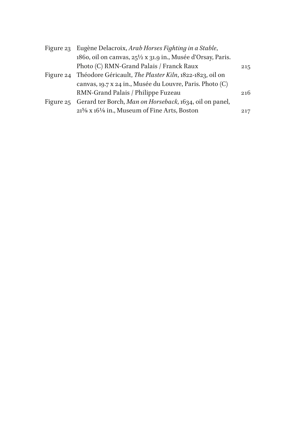| 215 |
|-----|
|     |
|     |
| 216 |
|     |
| 217 |
|     |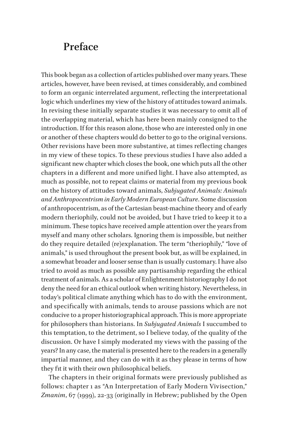#### <span id="page-9-0"></span>**Preface**

This book began as a collection of articles published over many years. These articles, however, have been revised, at times considerably, and combined to form an organic interrelated argument, reflecting the interpretational logic which underlines my view of the history of attitudes toward animals. In revising these initially separate studies it was necessary to omit all of the overlapping material, which has here been mainly consigned to the introduction. If for this reason alone, those who are interested only in one or another of these chapters would do better to go to the original versions. Other revisions have been more substantive, at times reflecting changes in my view of these topics. To these previous studies I have also added a significant new chapter which closes the book, one which puts all the other chapters in a different and more unified light. I have also attempted, as much as possible, not to repeat claims or material from my previous book on the history of attitudes toward animals, *Subjugated Animals: Animals and Anthropocentrism in Early Modern European Culture*. Some discussion of anthropocentrism, as of the Cartesian beast-machine theory and of early modern theriophily, could not be avoided, but I have tried to keep it to a minimum. These topics have received ample attention over the years from myself and many other scholars. Ignoring them is impossible, but neither do they require detailed (re)explanation. The term "theriophily," "love of animals," is used throughout the present book but, as will be explained, in a somewhat broader and looser sense than is usually customary. I have also tried to avoid as much as possible any partisanship regarding the ethical treatment of animals. As a scholar of Enlightenment historiography I do not deny the need for an ethical outlook when writing history. Nevertheless, in today's political climate anything which has to do with the environment, and specifically with animals, tends to arouse passions which are not conducive to a proper historiographical approach. This is more appropriate for philosophers than historians. In *Subjugated Animals* I succumbed to this temptation, to the detriment, so I believe today, of the quality of the discussion. Or have I simply moderated my views with the passing of the years? In any case, the material is presented here to the readers in a generally impartial manner, and they can do with it as they please in terms of how they fit it with their own philosophical beliefs.

The chapters in their original formats were previously published as follows: chapter 1 as "An Interpretation of Early Modern Vivisection," *Zmanim*, 67 (1999), 22-33 (originally in Hebrew; published by the Open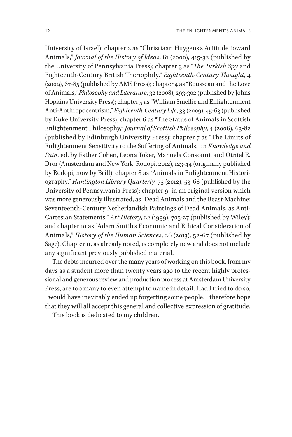University of Israel); chapter 2 as "Christiaan Huygens's Attitude toward Animals," *Journal of the History of Ideas*, 61 (2000), 415-32 (published by the University of Pennsylvania Press); chapter 3 as "*The Turkish Spy* and Eighteenth-Century British Theriophily," *Eighteenth-Century Thought*, 4 (2009), 67-85 (published by AMS Press); chapter 4 as "Rousseau and the Love of Animals," *Philosophy and Literature*, 32 (2008), 293-302 (published by Johns Hopkins University Press); chapter 5 as "William Smellie and Enlightenment Anti-Anthropocentrism," *Eighteenth-Century Life*, 33 (2009), 45-63 (published by Duke University Press); chapter 6 as "The Status of Animals in Scottish Enlightenment Philosophy," *Journal of Scottish Philosophy*, 4 (2006), 63-82 (published by Edinburgh University Press); chapter 7 as "The Limits of Enlightenment Sensitivity to the Suffering of Animals," in *Knowledge and Pain*, ed. by Esther Cohen, Leona Toker, Manuela Consonni, and Otniel E. Dror (Amsterdam and New York: Rodopi, 2012), 123-44 (originally published by Rodopi, now by Brill); chapter 8 as "Animals in Enlightenment Historiography," *Huntington Library Quarterly*, 75 (2012), 53-68 (published by the University of Pennsylvania Press); chapter 9, in an original version which was more generously illustrated, as "Dead Animals and the Beast-Machine: Seventeenth-Century Netherlandish Paintings of Dead Animals, as Anti-Cartesian Statements," *Art History*, 22 (1999), 705-27 (published by Wiley); and chapter 10 as "Adam Smith's Economic and Ethical Consideration of Animals," *History of the Human Sciences*, 26 (2013), 52-67 (published by Sage). Chapter 11, as already noted, is completely new and does not include any significant previously published material.

The debts incurred over the many years of working on this book, from my days as a student more than twenty years ago to the recent highly professional and generous review and production process at Amsterdam University Press, are too many to even attempt to name in detail. Had I tried to do so, I would have inevitably ended up forgetting some people. I therefore hope that they will all accept this general and collective expression of gratitude.

This book is dedicated to my children.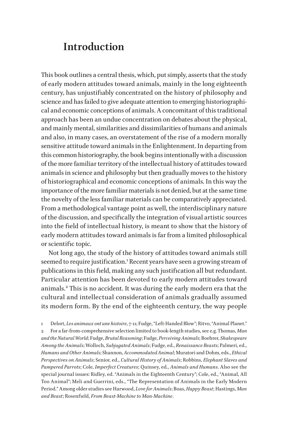#### <span id="page-11-0"></span>**Introduction**

This book outlines a central thesis, which, put simply, asserts that the study of early modern attitudes toward animals, mainly in the long eighteenth century, has unjustifiably concentrated on the history of philosophy and science and has failed to give adequate attention to emerging historiographical and economic conceptions of animals. A concomitant of this traditional approach has been an undue concentration on debates about the physical, and mainly mental, similarities and dissimilarities of humans and animals and also, in many cases, an overstatement of the rise of a modern morally sensitive attitude toward animals in the Enlightenment. In departing from this common historiography, the book begins intentionally with a discussion of the more familiar territory of the intellectual history of attitudes toward animals in science and philosophy but then gradually moves to the history of historiographical and economic conceptions of animals. In this way the importance of the more familiar materials is not denied, but at the same time the novelty of the less familiar materials can be comparatively appreciated. From a methodological vantage point as well, the interdisciplinary nature of the discussion, and specifically the integration of visual artistic sources into the field of intellectual history, is meant to show that the history of early modern attitudes toward animals is far from a limited philosophical or scientific topic.

Not long ago, the study of the history of attitudes toward animals still seemed to require justification.<sup>1</sup> Recent years have seen a growing stream of publications in this field, making any such justification all but redundant. Particular attention has been devoted to early modern attitudes toward animals.<sup>2</sup> This is no accident. It was during the early modern era that the cultural and intellectual consideration of animals gradually assumed its modern form. By the end of the eighteenth century, the way people

1 Delort, *Les animaux ont une histoire*, 7-11; Fudge, "Left-Handed Blow"; Ritvo, "Animal Planet." 2 For a far-from-comprehensive selection limited to book-length studies, see e.g. Thomas, *Man and the Natural World*; Fudge, *Brutal Reasoning*; Fudge, *Perceiving Animals*; Boehrer, *Shakespeare Among the Animals*; Wolloch, *Subjugated Animals*; Fudge, ed., *Renaissance Beasts*; Palmeri, ed., *Humans and Other Animals*; Shannon, *Accommodated Animal*; Muratori and Dohm, eds., *Ethical Perspectives on Animals*; Senior, ed., *Cultural History of Animals*; Robbins, *Elephant Slaves and Pampered Parrots*; Cole, *Imperfect Creatures*; Quinsey, ed., *Animals and Humans*. Also see the special journal issues: Ridley, ed. "Animals in the Eighteenth Century"; Cole, ed., "Animal, All Too Animal"; Meli and Guerrini, eds., "The Representation of Animals in the Early Modern Period." Among older studies see Harwood, *Love for Animals*; Boas, *Happy Beast*; Hastings, *Man and Beast*; Rosenfield, *From Beast-Machine to Man-Machine*.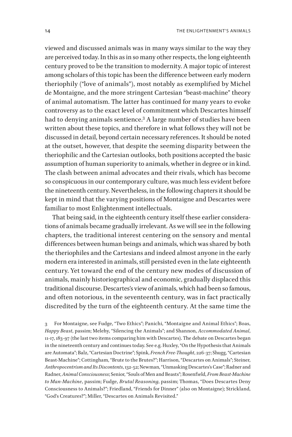viewed and discussed animals was in many ways similar to the way they are perceived today. In this as in so many other respects, the long eighteenth century proved to be the transition to modernity. A major topic of interest among scholars of this topic has been the difference between early modern theriophily ("love of animals"), most notably as exemplified by Michel de Montaigne, and the more stringent Cartesian "beast-machine" theory of animal automatism. The latter has continued for many years to evoke controversy as to the exact level of commitment which Descartes himself had to denying animals sentience.3 A large number of studies have been written about these topics, and therefore in what follows they will not be discussed in detail, beyond certain necessary references. It should be noted at the outset, however, that despite the seeming disparity between the theriophilic and the Cartesian outlooks, both positions accepted the basic assumption of human superiority to animals, whether in degree or in kind. The clash between animal advocates and their rivals, which has become so conspicuous in our contemporary culture, was much less evident before the nineteenth century. Nevertheless, in the following chapters it should be kept in mind that the varying positions of Montaigne and Descartes were familiar to most Enlightenment intellectuals.

That being said, in the eighteenth century itself these earlier considerations of animals became gradually irrelevant. As we will see in the following chapters, the traditional interest centering on the sensory and mental differences between human beings and animals, which was shared by both the theriophiles and the Cartesians and indeed almost anyone in the early modern era interested in animals, still persisted even in the late eighteenth century. Yet toward the end of the century new modes of discussion of animals, mainly historiographical and economic, gradually displaced this traditional discourse. Descartes's view of animals, which had been so famous, and often notorious, in the seventeenth century, was in fact practically discredited by the turn of the eighteenth century. At the same time the

3 For Montaigne, see Fudge, "Two Ethics"; Panichi, "Montaigne and Animal Ethics"; Boas, *Happy Beast*, passim; Melehy, "Silencing the Animals"; and Shannon, *Accommodated Animal*, 11-17, 183-97 (the last two items comparing him with Descartes). The debate on Descartes began in the nineteenth century and continues today. See e.g. Huxley, "On the Hypothesis that Animals are Automata"; Balz, "Cartesian Doctrine"; Spink, *French Free-Thought*, 226-37; Shugg, "Cartesian Beast-Machine"; Cottingham, "Brute to the Brutes?"; Harrison, "Descartes on Animals"; Steiner, *Anthropocentrism and Its Discontents*, 132-52; Newman, "Unmasking Descartes's Case"; Radner and Radner, *Animal Consciousness*; Senior, "Souls of Men and Beasts"; Rosenfield, *From Beast-Machine to Man-Machine*, passim; Fudge, *Brutal Reasoning*, passim; Thomas, "Does Descartes Deny Consciousness to Animals?"; Friedland, "Friends for Dinner" (also on Montaigne); Strickland, "God's Creatures?"; Miller, "Descartes on Animals Revisited."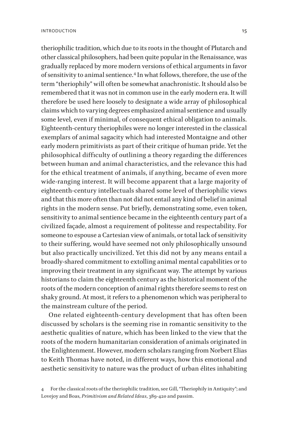theriophilic tradition, which due to its roots in the thought of Plutarch and other classical philosophers, had been quite popular in the Renaissance, was gradually replaced by more modern versions of ethical arguments in favor of sensitivity to animal sentience.<sup>4</sup> In what follows, therefore, the use of the term "theriophily" will often be somewhat anachronistic. It should also be remembered that it was not in common use in the early modern era. It will therefore be used here loosely to designate a wide array of philosophical claims which to varying degrees emphasized animal sentience and usually some level, even if minimal, of consequent ethical obligation to animals. Eighteenth-century theriophiles were no longer interested in the classical exemplars of animal sagacity which had interested Montaigne and other early modern primitivists as part of their critique of human pride. Yet the philosophical difficulty of outlining a theory regarding the differences between human and animal characteristics, and the relevance this had for the ethical treatment of animals, if anything, became of even more wide-ranging interest. It will become apparent that a large majority of eighteenth-century intellectuals shared some level of theriophilic views and that this more often than not did not entail any kind of belief in animal rights in the modern sense. Put briefly, demonstrating some, even token, sensitivity to animal sentience became in the eighteenth century part of a civilized façade, almost a requirement of politesse and respectability. For someone to espouse a Cartesian view of animals, or total lack of sensitivity to their suffering, would have seemed not only philosophically unsound but also practically uncivilized. Yet this did not by any means entail a broadly-shared commitment to extolling animal mental capabilities or to improving their treatment in any significant way. The attempt by various historians to claim the eighteenth century as the historical moment of the roots of the modern conception of animal rights therefore seems to rest on shaky ground. At most, it refers to a phenomenon which was peripheral to the mainstream culture of the period.

One related eighteenth-century development that has often been discussed by scholars is the seeming rise in romantic sensitivity to the aesthetic qualities of nature, which has been linked to the view that the roots of the modern humanitarian consideration of animals originated in the Enlightenment. However, modern scholars ranging from Norbert Elias to Keith Thomas have noted, in different ways, how this emotional and aesthetic sensitivity to nature was the product of urban élites inhabiting

<sup>4</sup> For the classical roots of the theriophilic tradition, see Gill, "Theriophily in Antiquity"; and Lovejoy and Boas, *Primitivism and Related Ideas*, 389-420 and passim.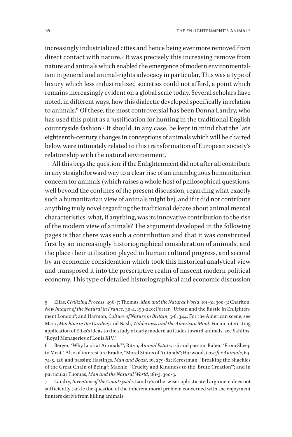increasingly industrialized cities and hence being ever more removed from direct contact with nature.<sup>5</sup> It was precisely this increasing remove from nature and animals which enabled the emergence of modern environmentalism in general and animal-rights advocacy in particular. This was a type of luxury which less industrialized societies could not afford, a point which remains increasingly evident on a global scale today. Several scholars have noted, in different ways, how this dialectic developed specifically in relation to animals.<sup>6</sup> Of these, the most controversial has been Donna Landry, who has used this point as a justification for hunting in the traditional English countryside fashion.7 It should, in any case, be kept in mind that the late eighteenth-century changes in conceptions of animals which will be charted below were intimately related to this transformation of European society's relationship with the natural environment.

All this begs the question: if the Enlightenment did not after all contribute in any straightforward way to a clear rise of an unambiguous humanitarian concern for animals (which raises a whole host of philosophical questions, well beyond the confines of the present discussion, regarding what exactly such a humanitarian view of animals might be), and if it did not contribute anything truly novel regarding the traditional debate about animal mental characteristics, what, if anything, was its innovative contribution to the rise of the modern view of animals? The argument developed in the following pages is that there was such a contribution and that it was constituted first by an increasingly historiographical consideration of animals, and the place their utilization played in human cultural progress, and second by an economic consideration which took this historical analytical view and transposed it into the prescriptive realm of nascent modern political economy. This type of detailed historiographical and economic discussion

5 Elias, *Civilizing Process*, 496-7; Thomas, *Man and the Natural World*, 181-91, 300-3; Charlton, *New Images of the Natural in France*, 30-4, 199-220; Porter, "Urban and the Rustic in Enlightenment London"; and Harman, *Culture of Nature in Britain*, 5-6, 344. For the American scene, see Marx, *Machine in the Garden*; and Nash, *Wilderness and the American Mind*. For an interesting application of Elias's ideas to the study of early modern attitudes toward animals, see Sahlins, "Royal Menageries of Louis XIV."

6 Berger, "Why Look at Animals?"; Ritvo, *Animal Estate*, 1-6 and passim; Raber, "From Sheep to Meat." Also of interest are Bradie, "Moral Status of Animals"; Harwood, *Love for Animals*, 64, 74-5, 126 and passim; Hastings, *Man and Beast*, 16, 279-82; Kerestman, "Breaking the Shackles of the Great Chain of Being"; Maehle, "Cruelty and Kindness to the 'Brute Creation'"; and in particular Thomas, *Man and the Natural World*, 181-3, 300-3.

7 Landry, *Invention of the Countryside*. Landry's otherwise sophisticated argument does not sufficiently tackle the question of the inherent moral problem concerned with the enjoyment hunters derive from killing animals.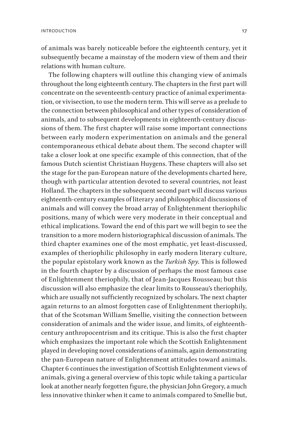of animals was barely noticeable before the eighteenth century, yet it subsequently became a mainstay of the modern view of them and their relations with human culture.

The following chapters will outline this changing view of animals throughout the long eighteenth century. The chapters in the first part will concentrate on the seventeenth-century practice of animal experimentation, or vivisection, to use the modern term. This will serve as a prelude to the connection between philosophical and other types of consideration of animals, and to subsequent developments in eighteenth-century discussions of them. The first chapter will raise some important connections between early modern experimentation on animals and the general contemporaneous ethical debate about them. The second chapter will take a closer look at one specific example of this connection, that of the famous Dutch scientist Christiaan Huygens. These chapters will also set the stage for the pan-European nature of the developments charted here, though with particular attention devoted to several countries, not least Holland. The chapters in the subsequent second part will discuss various eighteenth-century examples of literary and philosophical discussions of animals and will convey the broad array of Enlightenment theriophilic positions, many of which were very moderate in their conceptual and ethical implications. Toward the end of this part we will begin to see the transition to a more modern historiographical discussion of animals. The third chapter examines one of the most emphatic, yet least-discussed, examples of theriophilic philosophy in early modern literary culture, the popular epistolary work known as the *Turkish Spy*. This is followed in the fourth chapter by a discussion of perhaps the most famous case of Enlightenment theriophily, that of Jean-Jacques Rousseau; but this discussion will also emphasize the clear limits to Rousseau's theriophily, which are usually not sufficiently recognized by scholars. The next chapter again returns to an almost forgotten case of Enlightenment theriophily, that of the Scotsman William Smellie, visiting the connection between consideration of animals and the wider issue, and limits, of eighteenthcentury anthropocentrism and its critique. This is also the first chapter which emphasizes the important role which the Scottish Enlightenment played in developing novel considerations of animals, again demonstrating the pan-European nature of Enlightenment attitudes toward animals. Chapter 6 continues the investigation of Scottish Enlightenment views of animals, giving a general overview of this topic while taking a particular look at another nearly forgotten figure, the physician John Gregory, a much less innovative thinker when it came to animals compared to Smellie but,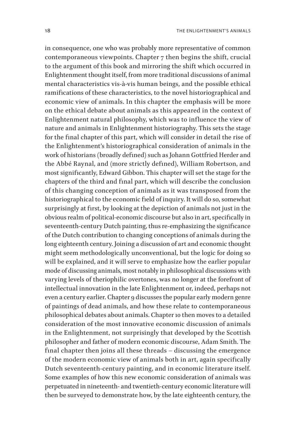in consequence, one who was probably more representative of common contemporaneous viewpoints. Chapter 7 then begins the shift, crucial to the argument of this book and mirroring the shift which occurred in Enlightenment thought itself, from more traditional discussions of animal mental characteristics vis-à-vis human beings, and the possible ethical ramifications of these characteristics, to the novel historiographical and economic view of animals. In this chapter the emphasis will be more on the ethical debate about animals as this appeared in the context of Enlightenment natural philosophy, which was to influence the view of nature and animals in Enlightenment historiography. This sets the stage for the final chapter of this part, which will consider in detail the rise of the Enlightenment's historiographical consideration of animals in the work of historians (broadly defined) such as Johann Gottfried Herder and the Abbé Raynal, and (more strictly defined), William Robertson, and most significantly, Edward Gibbon. This chapter will set the stage for the chapters of the third and final part, which will describe the conclusion of this changing conception of animals as it was transposed from the historiographical to the economic field of inquiry. It will do so, somewhat surprisingly at first, by looking at the depiction of animals not just in the obvious realm of political-economic discourse but also in art, specifically in seventeenth-century Dutch painting, thus re-emphasizing the significance of the Dutch contribution to changing conceptions of animals during the long eighteenth century. Joining a discussion of art and economic thought might seem methodologically unconventional, but the logic for doing so will be explained, and it will serve to emphasize how the earlier popular mode of discussing animals, most notably in philosophical discussions with varying levels of theriophilic overtones, was no longer at the forefront of intellectual innovation in the late Enlightenment or, indeed, perhaps not even a century earlier. Chapter 9 discusses the popular early modern genre of paintings of dead animals, and how these relate to contemporaneous philosophical debates about animals. Chapter 10 then moves to a detailed consideration of the most innovative economic discussion of animals in the Enlightenment, not surprisingly that developed by the Scottish philosopher and father of modern economic discourse, Adam Smith. The final chapter then joins all these threads – discussing the emergence of the modern economic view of animals both in art, again specifically Dutch seventeenth-century painting, and in economic literature itself. Some examples of how this new economic consideration of animals was perpetuated in nineteenth- and twentieth-century economic literature will then be surveyed to demonstrate how, by the late eighteenth century, the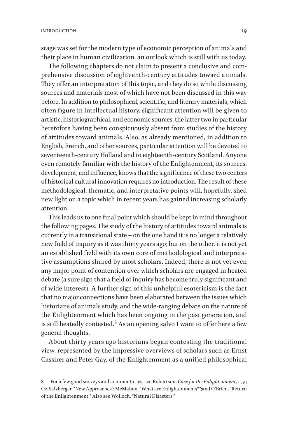stage was set for the modern type of economic perception of animals and their place in human civilization, an outlook which is still with us today.

The following chapters do not claim to present a conclusive and comprehensive discussion of eighteenth-century attitudes toward animals. They offer an interpretation of this topic, and they do so while discussing sources and materials most of which have not been discussed in this way before. In addition to philosophical, scientific, and literary materials, which often figure in intellectual history, significant attention will be given to artistic, historiographical, and economic sources, the latter two in particular heretofore having been conspicuously absent from studies of the history of attitudes toward animals. Also, as already mentioned, in addition to English, French, and other sources, particular attention will be devoted to seventeenth-century Holland and to eighteenth-century Scotland. Anyone even remotely familiar with the history of the Enlightenment, its sources, development, and influence, knows that the significance of these two centers of historical cultural innovation requires no introduction. The result of these methodological, thematic, and interpretative points will, hopefully, shed new light on a topic which in recent years has gained increasing scholarly attention.

This leads us to one final point which should be kept in mind throughout the following pages. The study of the history of attitudes toward animals is currently in a transitional state – on the one hand it is no longer a relatively new field of inquiry as it was thirty years ago; but on the other, it is not yet an established field with its own core of methodological and interpretative assumptions shared by most scholars. Indeed, there is not yet even any major point of contention over which scholars are engaged in heated debate (a sure sign that a field of inquiry has become truly significant and of wide interest). A further sign of this unhelpful esotericism is the fact that no major connections have been elaborated between the issues which historians of animals study, and the wide-ranging debate on the nature of the Enlightenment which has been ongoing in the past generation, and is still heatedly contested. $^8$  As an opening salvo I want to offer here a few general thoughts.

About thirty years ago historians began contesting the traditional view, represented by the impressive overviews of scholars such as Ernst Cassirer and Peter Gay, of the Enlightenment as a unified philosophical

<sup>8</sup> For a few good surveys and commentaries, see Robertson, *Case for the Enlightenment*, 1-51; Oz-Salzberger, "New Approaches"; McMahon, "What are Enlightenments?";and O'Brien, "Return of the Enlightenment." Also see Wolloch, "Natural Disasters."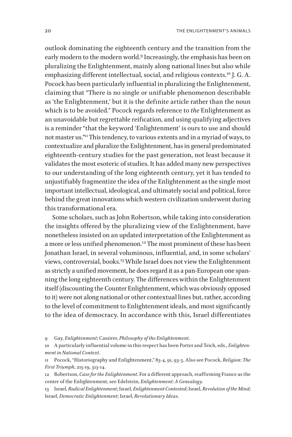outlook dominating the eighteenth century and the transition from the early modern to the modern world.9 Increasingly, the emphasis has been on pluralizing the Enlightenment, mainly along national lines but also while emphasizing different intellectual, social, and religious contexts.10 J. G. A. Pocock has been particularly influential in pluralizing the Enlightenment, claiming that "There is no single or unifiable phenomenon describable as 'the Enlightenment,' but it is the definite article rather than the noun which is to be avoided." Pocock regards reference to *the* Enlightenment as an unavoidable but regrettable reification, and using qualifying adjectives is a reminder "that the keyword 'Enlightenment' is ours to use and should not master us."11 This tendency, to various extents and in a myriad of ways, to contextualize and pluralize the Enlightenment, has in general predominated eighteenth-century studies for the past generation, not least because it validates the most esoteric of studies. It has added many new perspectives to our understanding of the long eighteenth century, yet it has tended to unjustifiably fragmentize the idea of the Enlightenment as the single most important intellectual, ideological, and ultimately social and political, force behind the great innovations which western civilization underwent during this transformational era.

Some scholars, such as John Robertson, while taking into consideration the insights offered by the pluralizing view of the Enlightenment, have nonetheless insisted on an updated interpretation of the Enlightenment as a more or less unified phenomenon.<sup>12</sup> The most prominent of these has been Jonathan Israel, in several voluminous, influential, and, in some scholars' views, controversial, books.13 While Israel does not view the Enlightenment as strictly a unified movement, he does regard it as a pan-European one spanning the long eighteenth century. The differences within the Enlightenment itself (discounting the Counter Enlightenment, which was obviously opposed to it) were not along national or other contextual lines but, rather, according to the level of commitment to Enlightenment ideals, and most significantly to the idea of democracy. In accordance with this, Israel differentiates

9 Gay, *Enlightenment*; Cassirer, *Philosophy of the Enlightenment*.

11 Pocock, "Historiography and Enlightenment," 83-4, 91, 93-5. Also see Pocock, *Religion: The First Triumph*, 215-19, 313-14.

12 Robertson, *Case for the Enlightenment*. For a different approach, reaffirming France as the center of the Enlightenment, see Edelstein, *Enlightenment: A Genealogy*.

13 Israel, *Radical Enlightenment*; Israel, *Enlightenment Contested*; Israel, *Revolution of the Mind*; Israel, *Democratic Enlightenment*; Israel, *Revolutionary Ideas*.

<sup>10</sup> A particularly influential volume in this respect has been Porter and Teich, eds., *Enlightenment in National Context*.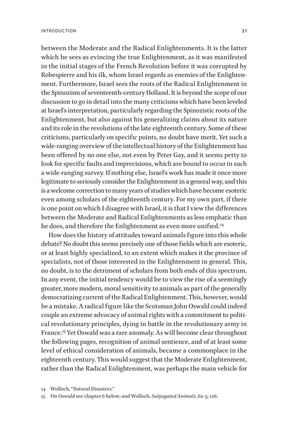between the Moderate and the Radical Enlightenments. It is the latter which he sees as evincing the true Enlightenment, as it was manifested in the initial stages of the French Revolution before it was corrupted by Robespierre and his ilk, whom Israel regards as enemies of the Enlightenment. Furthermore, Israel sees the roots of the Radical Enlightenment in the Spinozism of seventeenth-century Holland. It is beyond the scope of our discussion to go in detail into the many criticisms which have been leveled at Israel's interpretation, particularly regarding the Spinozistic roots of the Enlightenment, but also against his generalizing claims about its nature and its role in the revolutions of the late eighteenth century. Some of these criticisms, particularly on specific points, no doubt have merit. Yet such a wide-ranging overview of the intellectual history of the Enlightenment has been offered by no one else, not even by Peter Gay, and it seems petty to look for specific faults and imprecisions, which are bound to occur in such a wide-ranging survey. If nothing else, Israel's work has made it once more legitimate to seriously consider the Enlightenment in a general way, and this is a welcome correction to many years of studies which have become esoteric even among scholars of the eighteenth century. For my own part, if there is one point on which I disagree with Israel, it is that I view the differences between the Moderate and Radical Enlightenments as less emphatic than he does, and therefore the Enlightenment as even more unified.<sup>14</sup>

How does the history of attitudes toward animals figure into this whole debate? No doubt this seems precisely one of those fields which are esoteric, or at least highly specialized, to an extent which makes it the province of specialists, not of those interested in the Enlightenment in general. This, no doubt, is to the detriment of scholars from both ends of this spectrum. In any event, the initial tendency would be to view the rise of a seemingly greater, more modern, moral sensitivity to animals as part of the generally democratizing current of the Radical Enlightenment. This, however, would be a mistake. A radical figure like the Scotsman John Oswald could indeed couple an extreme advocacy of animal rights with a commitment to political revolutionary principles, dying in battle in the revolutionary army in France.<sup>15</sup> Yet Oswald was a rare anomaly. As will become clear throughout the following pages, recognition of animal sentience, and of at least some level of ethical consideration of animals, became a commonplace in the eighteenth century. This would suggest that the Moderate Enlightenment, rather than the Radical Enlightenment, was perhaps the main vehicle for

14 Wolloch, "Natural Disasters."

15 On Oswald see chapter 6 below; and Wolloch, *Subjugated Animals*, 62-3, 126.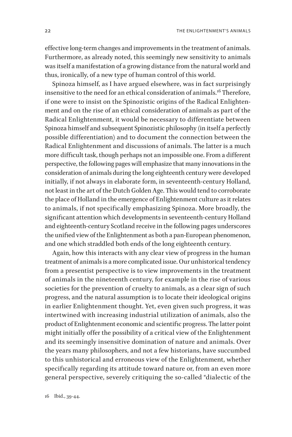effective long-term changes and improvements in the treatment of animals. Furthermore, as already noted, this seemingly new sensitivity to animals was itself a manifestation of a growing distance from the natural world and thus, ironically, of a new type of human control of this world.

Spinoza himself, as I have argued elsewhere, was in fact surprisingly insensitive to the need for an ethical consideration of animals.<sup>16</sup> Therefore, if one were to insist on the Spinozistic origins of the Radical Enlightenment and on the rise of an ethical consideration of animals as part of the Radical Enlightenment, it would be necessary to differentiate between Spinoza himself and subsequent Spinozistic philosophy (in itself a perfectly possible differentiation) and to document the connection between the Radical Enlightenment and discussions of animals. The latter is a much more difficult task, though perhaps not an impossible one. From a different perspective, the following pages will emphasize that many innovations in the consideration of animals during the long eighteenth century were developed initially, if not always in elaborate form, in seventeenth-century Holland, not least in the art of the Dutch Golden Age. This would tend to corroborate the place of Holland in the emergence of Enlightenment culture as it relates to animals, if not specifically emphasizing Spinoza. More broadly, the significant attention which developments in seventeenth-century Holland and eighteenth-century Scotland receive in the following pages underscores the unified view of the Enlightenment as both a pan-European phenomenon, and one which straddled both ends of the long eighteenth century.

Again, how this interacts with any clear view of progress in the human treatment of animals is a more complicated issue. Our unhistorical tendency from a presentist perspective is to view improvements in the treatment of animals in the nineteenth century, for example in the rise of various societies for the prevention of cruelty to animals, as a clear sign of such progress, and the natural assumption is to locate their ideological origins in earlier Enlightenment thought. Yet, even given such progress, it was intertwined with increasing industrial utilization of animals, also the product of Enlightenment economic and scientific progress. The latter point might initially offer the possibility of a critical view of the Enlightenment and its seemingly insensitive domination of nature and animals. Over the years many philosophers, and not a few historians, have succumbed to this unhistorical and erroneous view of the Enlightenment, whether specifically regarding its attitude toward nature or, from an even more general perspective, severely critiquing the so-called "dialectic of the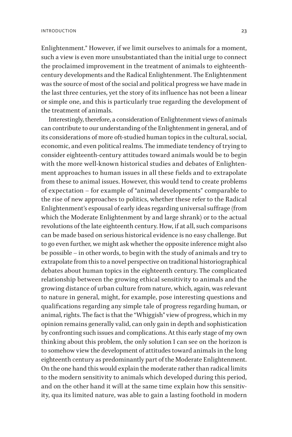Enlightenment." However, if we limit ourselves to animals for a moment, such a view is even more unsubstantiated than the initial urge to connect the proclaimed improvement in the treatment of animals to eighteenthcentury developments and the Radical Enlightenment. The Enlightenment was the source of most of the social and political progress we have made in the last three centuries, yet the story of its influence has not been a linear or simple one, and this is particularly true regarding the development of the treatment of animals.

Interestingly, therefore, a consideration of Enlightenment views of animals can contribute to our understanding of the Enlightenment in general, and of its considerations of more oft-studied human topics in the cultural, social, economic, and even political realms. The immediate tendency of trying to consider eighteenth-century attitudes toward animals would be to begin with the more well-known historical studies and debates of Enlightenment approaches to human issues in all these fields and to extrapolate from these to animal issues. However, this would tend to create problems of expectation – for example of "animal developments" comparable to the rise of new approaches to politics, whether these refer to the Radical Enlightenment's espousal of early ideas regarding universal suffrage (from which the Moderate Enlightenment by and large shrank) or to the actual revolutions of the late eighteenth century. How, if at all, such comparisons can be made based on serious historical evidence is no easy challenge. But to go even further, we might ask whether the opposite inference might also be possible – in other words, to begin with the study of animals and try to extrapolate from this to a novel perspective on traditional historiographical debates about human topics in the eighteenth century. The complicated relationship between the growing ethical sensitivity to animals and the growing distance of urban culture from nature, which, again, was relevant to nature in general, might, for example, pose interesting questions and qualifications regarding any simple tale of progress regarding human, or animal, rights. The fact is that the "Whiggish" view of progress, which in my opinion remains generally valid, can only gain in depth and sophistication by confronting such issues and complications. At this early stage of my own thinking about this problem, the only solution I can see on the horizon is to somehow view the development of attitudes toward animals in the long eighteenth century as predominantly part of the Moderate Enlightenment. On the one hand this would explain the moderate rather than radical limits to the modern sensitivity to animals which developed during this period, and on the other hand it will at the same time explain how this sensitivity, qua its limited nature, was able to gain a lasting foothold in modern